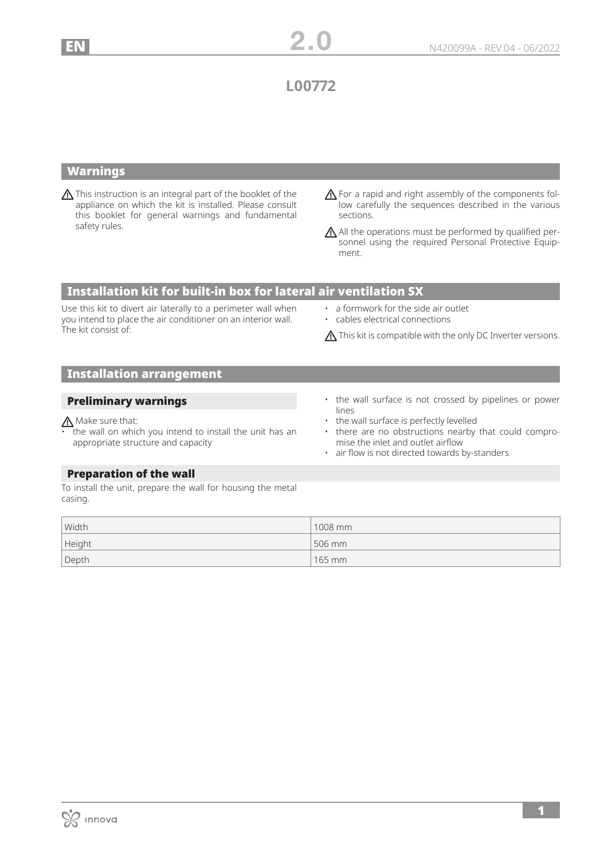**L00772**

## Warnings

This instruction is an integral part of the booklet of the appliance on which the kit is installed. Please consult this booklet for general warnings and fundamental safety rules.

A For a rapid and right assembly of the components follow carefully the sequences described in the various sections.

 $\bigwedge$  All the operations must be performed by qualified personnel using the required Personal Protective Equipment.

## Installation kit for built-in box for lateral air ventilation SX

Use this kit to divert air laterally to a perimeter wall when you intend to place the air conditioner on an interior wall. The kit consist of:

- a formwork for the side air outlet
- cables electrical connections

 $\bigwedge$  This kit is compatible with the only DC Inverter versions.

# Installation arrangement

### Preliminary warnings

## Make sure that:

- the wall on which you intend to install the unit has an appropriate structure and capacity
- the wall surface is not crossed by pipelines or power lines
- the wall surface is perfectly levelled
- there are no obstructions nearby that could compromise the inlet and outlet airflow
- air flow is not directed towards by-standers

### Preparation of the wall

To install the unit, prepare the wall for housing the metal casing.

| Width  | 1008 mm  |
|--------|----------|
| Height | 506 mm   |
| Depth  | $165$ mm |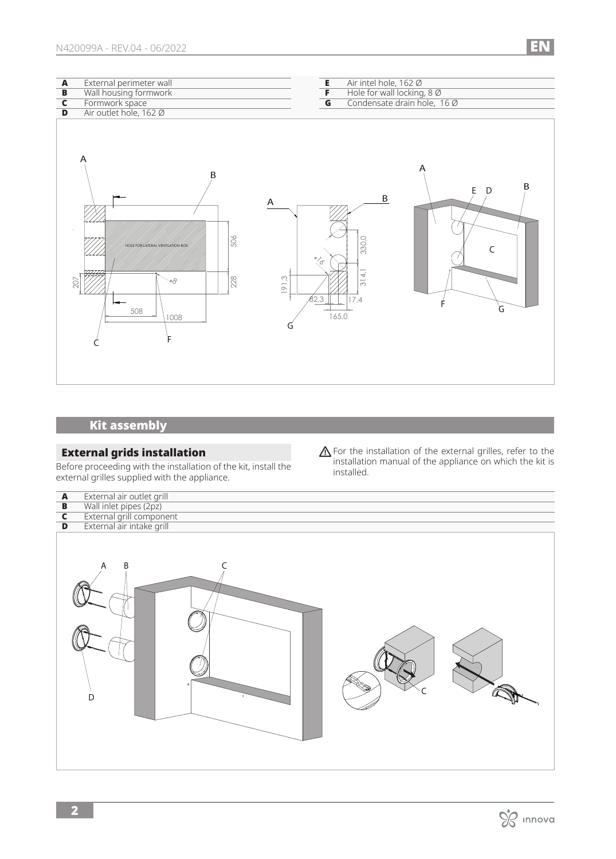| External perimeter wall |
|-------------------------|
| Wall housing formwork   |
|                         |

**C** Formwork space<br>**D** Air outlet hole, 16

- **E** Air intel hole, 162  $\emptyset$ <br>**F** Hole for wall locking
- **F** Hole for wall locking, 8 Ø
- **G** Condensate drain hole, 16 Ø



# Kit assembly

## External grids installation

Before proceeding with the installation of the kit, install the external grilles supplied with the appliance.

**A** For the installation of the external grilles, refer to the installation manual of the appliance on which the kit is installed.



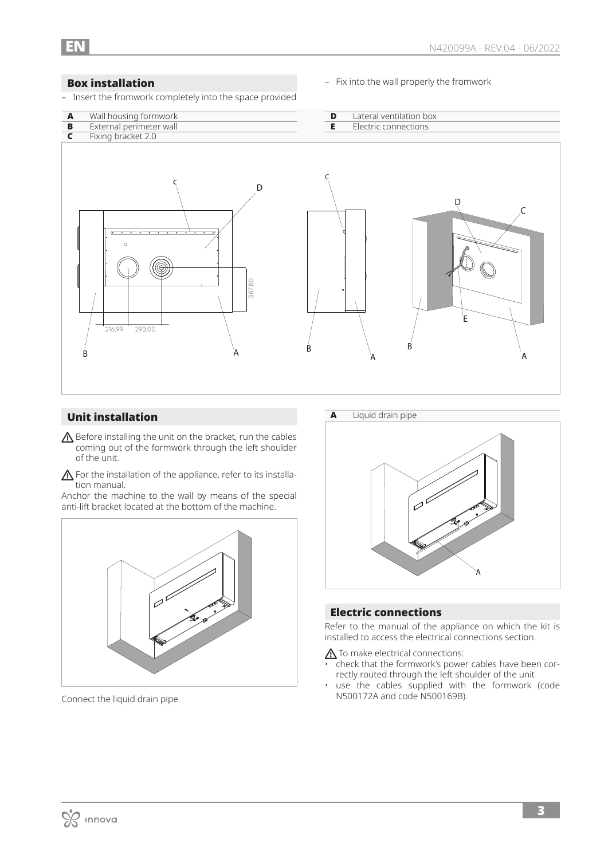### Box installation

– Insert the fromwork completely into the space provided

– Fix into the wall properly the fromwork



## Unit installation

- $\triangle$  Before installing the unit on the bracket, run the cables coming out of the formwork through the left shoulder of the unit.
- $\triangle$  For the installation of the appliance, refer to its installation manual.

Anchor the machine to the wall by means of the special anti-lift bracket located at the bottom of the machine.



Connect the liquid drain pipe.



### Electric connections

Refer to the manual of the appliance on which the kit is installed to access the electrical connections section.

 $\triangle$  To make electrical connections:

- check that the formwork's power cables have been correctly routed through the left shoulder of the unit
- use the cables supplied with the formwork (code N500172A and code N500169B).

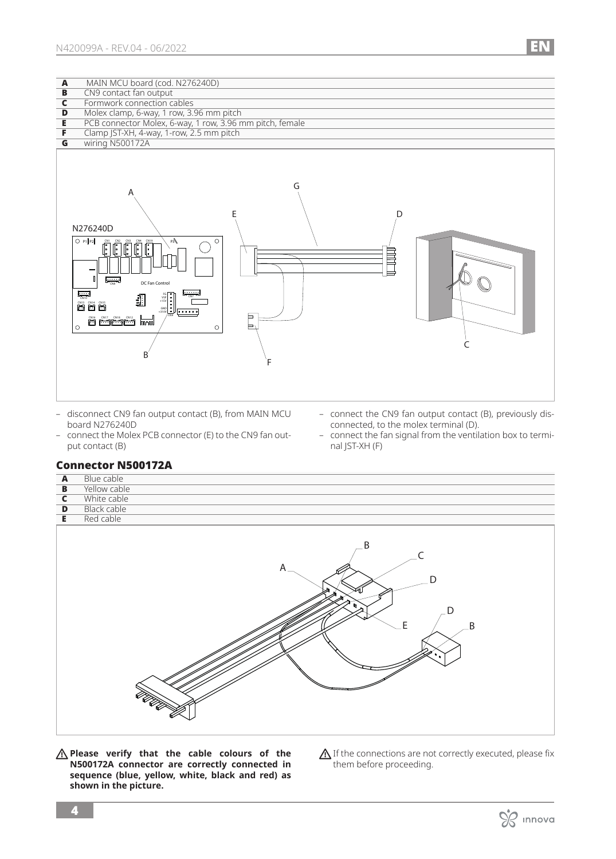

- disconnect CN9 fan output contact (B), from MAIN MCU board N276240D
- connect the Molex PCB connector (E) to the CN9 fan output contact (B)
- connect the CN9 fan output contact (B), previously disconnected, to the molex terminal (D).
- connect the fan signal from the ventilation box to terminal JST-XH (F)

### Connector N500172A

| $\overline{\mathbf{A}}$ | Blue cable                                                                       |
|-------------------------|----------------------------------------------------------------------------------|
| $\overline{B}$          | Yellow cable                                                                     |
| $\overline{\mathbf{c}}$ | White cable                                                                      |
| D                       | <b>Black cable</b>                                                               |
| E.                      | Red cable                                                                        |
|                         | .B<br>$\subset$<br>A<br>n<br>$\blacksquare$<br>D<br>E,<br>$\overline{B}$<br>EE E |

**Please verify that the cable colours of the N500172A connector are correctly connected in sequence (blue, yellow, white, black and red) as shown in the picture.**

 $\bigwedge$  If the connections are not correctly executed, please fix them before proceeding.